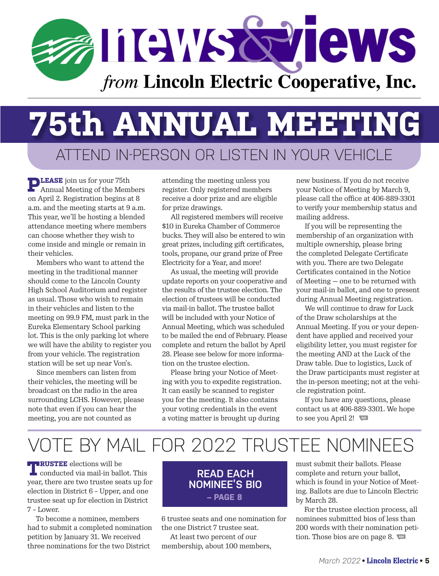

## ATTEND IN-PERSON OR LISTEN IN YOUR VEHICLE **75th ANNUAL MEETING**

**PLEASE** join us for your 75th Annual Meeting of the Members on April 2. Registration begins at 8 a.m. and the meeting starts at 9 a.m. This year, we'll be hosting a blended attendance meeting where members can choose whether they wish to come inside and mingle or remain in their vehicles.

Members who want to attend the meeting in the traditional manner should come to the Lincoln County High School Auditorium and register as usual. Those who wish to remain in their vehicles and listen to the meeting on 99.9 FM, must park in the Eureka Elementary School parking lot. This is the only parking lot where we will have the ability to register you from your vehicle. The registration station will be set up near Von's.

Since members can listen from their vehicles, the meeting will be broadcast on the radio in the area surrounding LCHS. However, please note that even if you can hear the meeting, you are not counted as

attending the meeting unless you register. Only registered members receive a door prize and are eligible for prize drawings.

All registered members will receive \$10 in Eureka Chamber of Commerce bucks. They will also be entered to win great prizes, including gift certificates, tools, propane, our grand prize of Free Electricity for a Year, and more!

As usual, the meeting will provide update reports on your cooperative and the results of the trustee election. The election of trustees will be conducted via mail-in ballot. The trustee ballot will be included with your Notice of Annual Meeting, which was scheduled to be mailed the end of February. Please complete and return the ballot by April 28. Please see below for more information on the trustee election.

Please bring your Notice of Meeting with you to expedite registration. It can easily be scanned to register you for the meeting. It also contains your voting credentials in the event a voting matter is brought up during

new business. If you do not receive your Notice of Meeting by March 9, please call the office at 406-889-3301 to verify your membership status and mailing address.

If you will be representing the membership of an organization with multiple ownership, please bring the completed Delegate Certificate with you. There are two Delegate Certificates contained in the Notice of Meeting — one to be returned with your mail-in ballot, and one to present during Annual Meeting registration.

We will continue to draw for Luck of the Draw scholarships at the Annual Meeting. If you or your dependent have applied and received your eligibility letter, you must register for the meeting AND at the Luck of the Draw table. Due to logistics, Luck of the Draw participants must register at the in-person meeting; not at the vehicle registration point.

If you have any questions, please contact us at 406-889-3301. We hope to see you April 2!

## VOTE BY MAIL FOR 2022 TRUSTEE NOMINEES

**TRUSTEE** elections will be conducted via mail-in ballot. This year, there are two trustee seats up for election in District 6 – Upper, and one trustee seat up for election in District 7 – Lower.

To become a nominee, members had to submit a completed nomination petition by January 31. We received three nominations for the two District

#### **READ EACH NOMINEE'S BIO – PAGE 8**

6 trustee seats and one nomination for the one District 7 trustee seat.

At least two percent of our membership, about 100 members, must submit their ballots. Please complete and return your ballot, which is found in your Notice of Meeting. Ballots are due to Lincoln Electric by March 28.

For the trustee election process, all nominees submitted bios of less than 200 words with their nomination petition. Those bios are on page 8.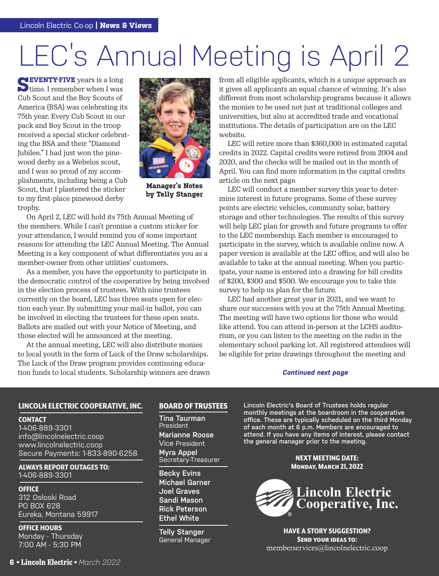# LEC's Annual Meeting is April 2

**SEVENTY-FIVE** years is a long<br>time. I remember when I was Cub Scout and the Boy Scouts of America (BSA) was celebrating its 75th year. Every Cub Scout in our pack and Boy Scout in the troop received a special sticker celebrating the BSA and their "Diamond Jubilee." I had just won the pinewood derby as a Webelos scout, and I was so proud of my accomplishments, including being a Cub Scout, that I plastered the sticker to my first-place pinewood derby trophy.



**Manager's Notes by Telly Stanger**

On April 2, LEC will hold its 75th Annual Meeting of the members. While I can't promise a custom sticker for your attendance, I would remind you of some important reasons for attending the LEC Annual Meeting. The Annual Meeting is a key component of what differentiates you as a member-owner from other utilities' customers.

As a member, you have the opportunity to participate in the democratic control of the cooperative by being involved in the election process of trustees. With nine trustees currently on the board, LEC has three seats open for election each year. By submitting your mail-in ballot, you can be involved in electing the trustees for these open seats. Ballots are mailed out with your Notice of Meeting, and those elected will be announced at the meeting.

At the annual meeting, LEC will also distribute monies to local youth in the form of Luck of the Draw scholarships. The Luck of the Draw program provides continuing education funds to local students. Scholarship winners are drawn

from all eligible applicants, which is a unique approach as it gives all applicants an equal chance of winning. It's also different from most scholarship programs because it allows the monies to be used not just at traditional colleges and universities, but also at accredited trade and vocational institutions. The details of participation are on the LEC website.

LEC will retire more than \$360,000 in estimated capital credits in 2022. Capital credits were retired from 2004 and 2020, and the checks will be mailed out in the month of April. You can find more information in the capital credits article on the next page.

LEC will conduct a member survey this year to determine interest in future programs. Some of these survey points are electric vehicles, community solar, battery storage and other technologies. The results of this survey will help LEC plan for growth and future programs to offer to the LEC membership. Each member is encouraged to participate in the survey, which is available online now. A paper version is available at the LEC office, and will also be available to take at the annual meeting. When you participate, your name is entered into a drawing for bill credits of \$200, \$300 and \$500. We encourage you to take this survey to help us plan for the future.

LEC had another great year in 2021, and we want to share our successes with you at the 75th Annual Meeting. The meeting will have two options for those who would like attend. You can attend in-person at the LCHS auditorium, or you can listen to the meeting on the radio in the elementary school parking lot. All registered attendees will be eligible for prize drawings throughout the meeting and

#### *Continued next page*

#### LINCOLN ELECTRIC COOPERATIVE, INC.

#### **CONTACT**

1-406-889-3301 info@lincolnelectric.coop www.lincolnelectric.coop Secure Payments: 1-833-890-6258

ALWAYS REPORT OUTAGES TO: 1-406-889-3301

**OFFICE** 312 Osloski Road PO BOX 628 Eureka, Montana 59917

OFFICE HOURS Monday - Thursday 7:00 AM - 5:30 PM

#### **6 • Lincoln Electric •** *March 2022* **6 • Lincoln**  *March*

#### BOARD OF TRUSTEES

**Tina Taurman President Marianne Roose** Vice President **Myra Appel** Secretary-Treasurer

**Becky Evins Michael Garner Joel Graves Sandi Mason Rick Peterson Ethel White**

**Telly Stanger** General Manager **Lincoln Electric's Board of Trustees holds regular monthly meetings at the boardroom in the cooperative office. These are typically scheduled on the third Monday of each month at 6 p.m. Members are encouraged to attend. If you have any items of interest, please contact the general manager prior to the meeting.**

> NEXT MEETING DATE: Monday, March 21, 2022



HAVE A STORY SUGGESTION? Send your ideas to: memberservices@lincolnelectric.coop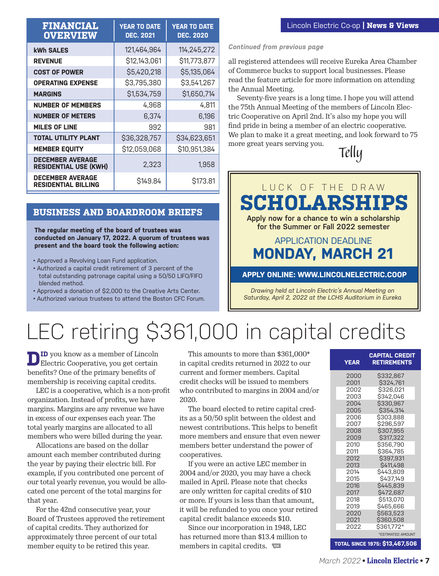| <b>FINANCIAL</b><br><b>OVERVIEW</b>                     | <b>YEAR TO DATE</b><br><b>DEC. 2021</b> | <b>YEAR TO DATE</b><br><b>DEC. 2020</b> |
|---------------------------------------------------------|-----------------------------------------|-----------------------------------------|
| kWh SALES                                               | 121,464,964                             | 114,245,272                             |
| <b>REVENUE</b>                                          | \$12,143,061                            | \$11,773,877                            |
| <b>COST OF POWER</b>                                    | \$5,420,218                             | \$5,135,064                             |
| <b>OPERATING EXPENSE</b>                                | \$3,795,380                             | \$3,541,267                             |
| <b>MARGINS</b>                                          | \$1,534,759                             | \$1,650,714                             |
| <b>NUMBER OF MEMBERS</b>                                | 4,968                                   | 4.811                                   |
| <b>NUMBER OF METERS</b>                                 | 6,374                                   | 6,196                                   |
| <b>MILES OF LINE</b>                                    | 992                                     | 981                                     |
| <b>TOTAL UTILITY PLANT</b>                              | \$36,328,757                            | \$34,623,651                            |
| <b>MEMBER EQUITY</b>                                    | \$12,059,068                            | \$10,951,384                            |
| <b>DECEMBER AVERAGE</b><br><b>RESIDENTIAL USE (KWH)</b> | 2.323                                   | 1.958                                   |
| <b>DECEMBER AVERAGE</b><br><b>RESIDENTIAL BILLING</b>   | S149.84                                 | \$173.81                                |

#### **BUSINESS AND BOARDROOM BRIEFS**

**The regular meeting of the board of trustees was conducted on January 17, 2022. A quorum of trustees was present and the board took the following action:**

• Approved a Revolving Loan Fund application.

- Authorized a capital credit retirement of 3 percent of the total outstanding patronage capital using a 50/50 LIFO/FIFO blended method.
- Approved a donation of \$2,000 to the Creative Arts Center.
- Authorized various trustees to attend the Boston CFC Forum.

*Continued from previous page*

all registered attendees will receive Eureka Area Chamber of Commerce bucks to support local businesses. Please read the feature article for more information on attending the Annual Meeting.

Seventy-five years is a long time. I hope you will attend the 75th Annual Meeting of the members of Lincoln Electric Cooperative on April 2nd. It's also my hope you will find pride in being a member of an electric cooperative. We plan to make it a great meeting, and look forward to 75 more great years serving you.

*Telly*



*Drawing held at Lincoln Electric's Annual Meeting on Saturday, April 2, 2022 at the LCHS Auditorium in Eureka*

## LEC retiring \$361,000 in capital credits

**DID** you know as a member of Lincoln Electric Cooperative, you get certain benefits? One of the primary benefits of membership is receiving capital credits.

LEC is a cooperative, which is a non-profit organization. Instead of profits, we have margins. Margins are any revenue we have in excess of our expenses each year. The total yearly margins are allocated to all members who were billed during the year.

Allocations are based on the dollar amount each member contributed during the year by paying their electric bill. For example, if you contributed one percent of our total yearly revenue, you would be allocated one percent of the total margins for that year.

For the 42nd consecutive year, your Board of Trustees approved the retirement of capital credits. They authorized for approximately three percent of our total member equity to be retired this year.

This amounts to more than \$361,000\* in capital credits returned in 2022 to our current and former members. Capital credit checks will be issued to members who contributed to margins in 2004 and/or 2020.

The board elected to retire capital credits as a 50/50 split between the oldest and newest contributions. This helps to benefit more members and ensure that even newer members better understand the power of cooperatives.

If you were an active LEC member in 2004 and/or 2020, you may have a check mailed in April. Please note that checks are only written for capital credits of \$10 or more. If yours is less than that amount, it will be refunded to you once your retired capital credit balance exceeds \$10.

Since our incorporation in 1948, LEC has returned more than \$13.4 million to members in capital credits.

| <b>YEAR</b> | <b>CAPITAL CREDIT</b><br><b>RETIREMENTS</b> |
|-------------|---------------------------------------------|
| 2000        | \$332,867                                   |
| 2001        | \$324,761                                   |
| 2002        | \$326,021                                   |
| 2003        | \$342,046                                   |
| 2004        | \$330,967                                   |
| 2005        | \$354,314                                   |
| 2006        | \$303,888                                   |
| 2007        | \$296,597                                   |
| 2008        | \$307,955                                   |
| 2009        | \$317,322                                   |
| 2010        | \$356,790                                   |
| 2011        | \$364,785                                   |
| 2012        | \$397,931                                   |
| 2013        | \$411,498                                   |
| 2014        | \$443,809                                   |
| 2015        | \$437,149                                   |
| 2016        | \$445,839                                   |
| 2017        | \$472,687                                   |
| 2018        | \$513,070                                   |
| 2019        | \$465,666                                   |
| 2020        | \$563,523                                   |
| 2021        | \$360,508                                   |
| 2022        | \$361,772*                                  |
|             | *ESTIMATED AMOUNT                           |
|             | <b>TOTAL SINCE 1975: \$13,467,506</b>       |